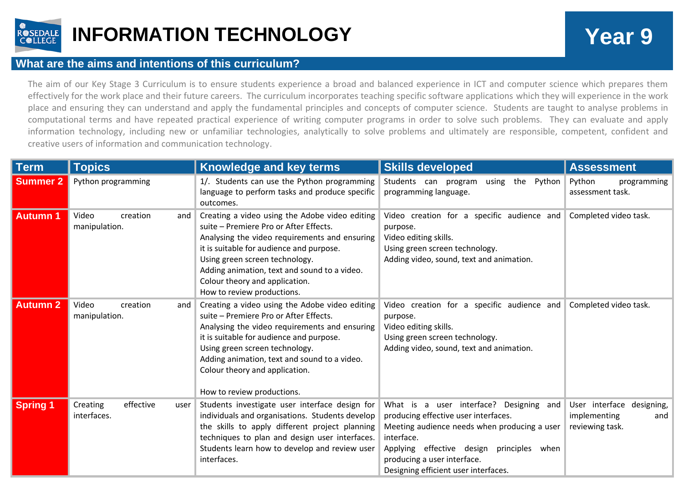

## **INFORMATION TECHNOLOGY Year 9**

## **What are the aims and intentions of this curriculum?**

The aim of our Key Stage 3 Curriculum is to ensure students experience a broad and balanced experience in ICT and computer science which prepares them effectively for the work place and their future careers. The curriculum incorporates teaching specific software applications which they will experience in the work place and ensuring they can understand and apply the fundamental principles and concepts of computer science. Students are taught to analyse problems in computational terms and have repeated practical experience of writing computer programs in order to solve such problems. They can evaluate and apply information technology, including new or unfamiliar technologies, analytically to solve problems and ultimately are responsible, competent, confident and creative users of information and communication technology.

| <b>Term</b>     | Topics <sup>1</sup>                          | <b>Knowledge and key terms</b>                                                                                                                                                                                                                                                                                                          | <b>Skills developed</b>                                                                                                                                                                                                                                                 | <b>Assessment</b>                                                   |
|-----------------|----------------------------------------------|-----------------------------------------------------------------------------------------------------------------------------------------------------------------------------------------------------------------------------------------------------------------------------------------------------------------------------------------|-------------------------------------------------------------------------------------------------------------------------------------------------------------------------------------------------------------------------------------------------------------------------|---------------------------------------------------------------------|
| <b>Summer 2</b> | Python programming                           | 1/. Students can use the Python programming<br>language to perform tasks and produce specific<br>outcomes.                                                                                                                                                                                                                              | Students can program<br>using the<br>Python<br>programming language.                                                                                                                                                                                                    | Python<br>programming<br>assessment task.                           |
| <b>Autumn1</b>  | Video<br>creation<br>and<br>manipulation.    | Creating a video using the Adobe video editing<br>suite - Premiere Pro or After Effects.<br>Analysing the video requirements and ensuring<br>it is suitable for audience and purpose.<br>Using green screen technology.<br>Adding animation, text and sound to a video.<br>Colour theory and application.<br>How to review productions. | Video creation for a specific audience and<br>purpose.<br>Video editing skills.<br>Using green screen technology.<br>Adding video, sound, text and animation.                                                                                                           | Completed video task.                                               |
| <b>Autumn 2</b> | Video<br>creation<br>and<br>manipulation.    | Creating a video using the Adobe video editing<br>suite - Premiere Pro or After Effects.<br>Analysing the video requirements and ensuring<br>it is suitable for audience and purpose.<br>Using green screen technology.<br>Adding animation, text and sound to a video.<br>Colour theory and application.<br>How to review productions. | Video creation for a specific audience and<br>purpose.<br>Video editing skills.<br>Using green screen technology.<br>Adding video, sound, text and animation.                                                                                                           | Completed video task.                                               |
| <b>Spring 1</b> | effective<br>Creating<br>user<br>interfaces. | Students investigate user interface design for<br>individuals and organisations. Students develop<br>the skills to apply different project planning<br>techniques to plan and design user interfaces.<br>Students learn how to develop and review user<br>interfaces.                                                                   | What is a user interface? Designing<br>and<br>producing effective user interfaces.<br>Meeting audience needs when producing a user<br>interface.<br>principles when<br>Applying effective design<br>producing a user interface.<br>Designing efficient user interfaces. | User interface designing,<br>implementing<br>and<br>reviewing task. |